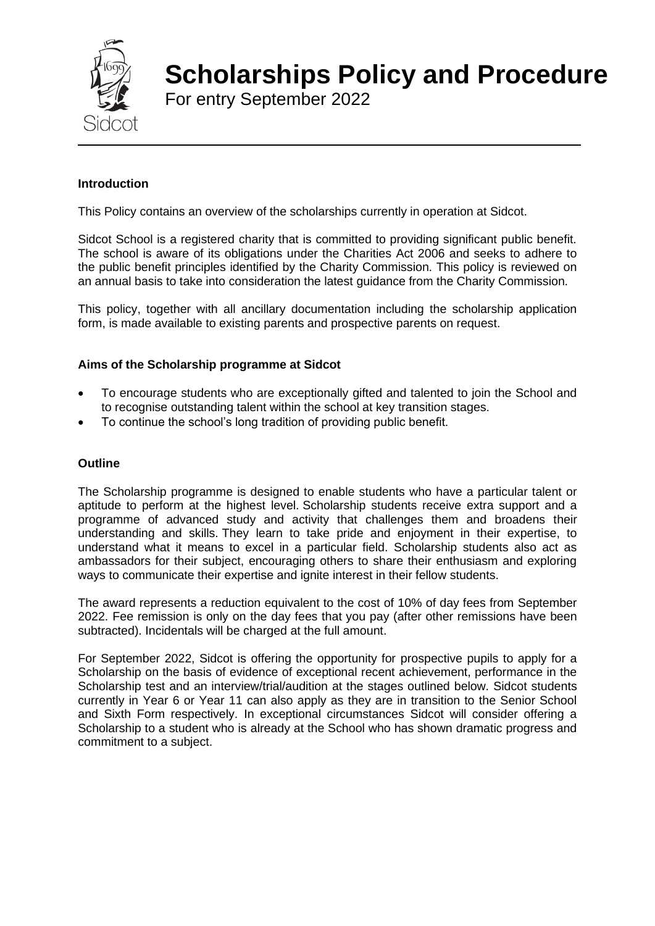

# **Scholarships Policy and Procedure**

For entry September 2022

# **Introduction**

This Policy contains an overview of the scholarships currently in operation at Sidcot.

Sidcot School is a registered charity that is committed to providing significant public benefit. The school is aware of its obligations under the Charities Act 2006 and seeks to adhere to the public benefit principles identified by the Charity Commission. This policy is reviewed on an annual basis to take into consideration the latest guidance from the Charity Commission.

This policy, together with all ancillary documentation including the scholarship application form, is made available to existing parents and prospective parents on request.

### **Aims of the Scholarship programme at Sidcot**

- To encourage students who are exceptionally gifted and talented to join the School and to recognise outstanding talent within the school at key transition stages.
- To continue the school's long tradition of providing public benefit.

### **Outline**

The Scholarship programme is designed to enable students who have a particular talent or aptitude to perform at the highest level. Scholarship students receive extra support and a programme of advanced study and activity that challenges them and broadens their understanding and skills. They learn to take pride and enjoyment in their expertise, to understand what it means to excel in a particular field. Scholarship students also act as ambassadors for their subject, encouraging others to share their enthusiasm and exploring ways to communicate their expertise and ignite interest in their fellow students.

The award represents a reduction equivalent to the cost of 10% of day fees from September 2022. Fee remission is only on the day fees that you pay (after other remissions have been subtracted). Incidentals will be charged at the full amount.

For September 2022, Sidcot is offering the opportunity for prospective pupils to apply for a Scholarship on the basis of evidence of exceptional recent achievement, performance in the Scholarship test and an interview/trial/audition at the stages outlined below. Sidcot students currently in Year 6 or Year 11 can also apply as they are in transition to the Senior School and Sixth Form respectively. In exceptional circumstances Sidcot will consider offering a Scholarship to a student who is already at the School who has shown dramatic progress and commitment to a subject.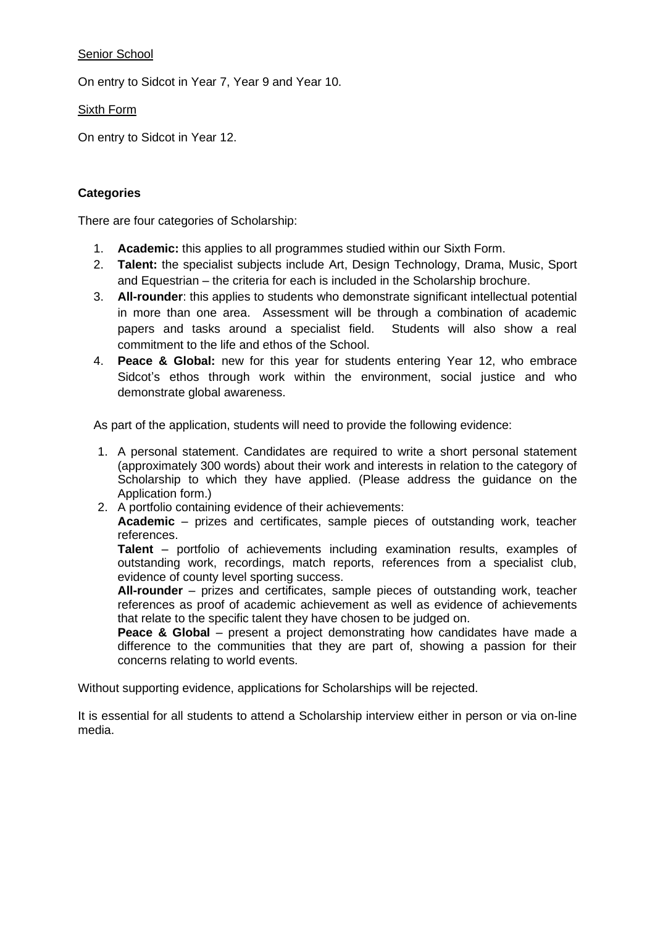## Senior School

On entry to Sidcot in Year 7, Year 9 and Year 10.

Sixth Form

On entry to Sidcot in Year 12.

### **Categories**

There are four categories of Scholarship:

- 1. **Academic:** this applies to all programmes studied within our Sixth Form.
- 2. **Talent:** the specialist subjects include Art, Design Technology, Drama, Music, Sport and Equestrian – the criteria for each is included in the Scholarship brochure.
- 3. **All-rounder**: this applies to students who demonstrate significant intellectual potential in more than one area. Assessment will be through a combination of academic papers and tasks around a specialist field. Students will also show a real commitment to the life and ethos of the School.
- 4. **Peace & Global:** new for this year for students entering Year 12, who embrace Sidcot's ethos through work within the environment, social justice and who demonstrate global awareness.

As part of the application, students will need to provide the following evidence:

- 1. A personal statement. Candidates are required to write a short personal statement (approximately 300 words) about their work and interests in relation to the category of Scholarship to which they have applied. (Please address the guidance on the Application form.)
- 2. A portfolio containing evidence of their achievements:

**Academic** – prizes and certificates, sample pieces of outstanding work, teacher references.

**Talent** – portfolio of achievements including examination results, examples of outstanding work, recordings, match reports, references from a specialist club, evidence of county level sporting success.

**All-rounder** – prizes and certificates, sample pieces of outstanding work, teacher references as proof of academic achievement as well as evidence of achievements that relate to the specific talent they have chosen to be judged on.

**Peace & Global** – present a project demonstrating how candidates have made a difference to the communities that they are part of, showing a passion for their concerns relating to world events.

Without supporting evidence, applications for Scholarships will be rejected.

It is essential for all students to attend a Scholarship interview either in person or via on-line media.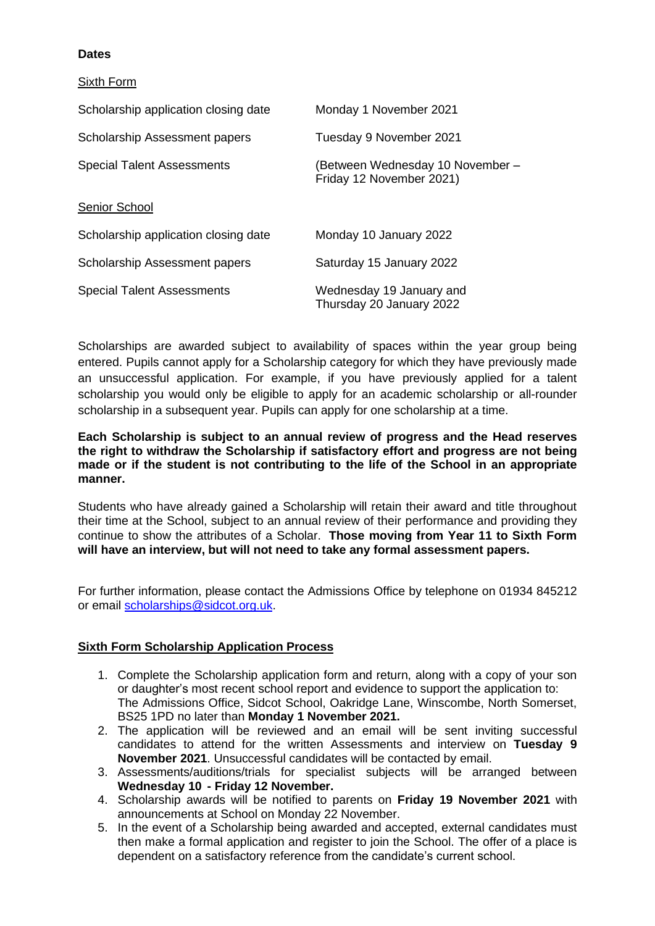### **Dates**

Sixth Form

| Scholarship application closing date | Monday 1 November 2021                                       |
|--------------------------------------|--------------------------------------------------------------|
| Scholarship Assessment papers        | Tuesday 9 November 2021                                      |
| <b>Special Talent Assessments</b>    | (Between Wednesday 10 November –<br>Friday 12 November 2021) |
| Senior School                        |                                                              |
| Scholarship application closing date | Monday 10 January 2022                                       |
| Scholarship Assessment papers        | Saturday 15 January 2022                                     |
| <b>Special Talent Assessments</b>    | Wednesday 19 January and<br>Thursday 20 January 2022         |

Scholarships are awarded subject to availability of spaces within the year group being entered. Pupils cannot apply for a Scholarship category for which they have previously made an unsuccessful application. For example, if you have previously applied for a talent scholarship you would only be eligible to apply for an academic scholarship or all-rounder scholarship in a subsequent year. Pupils can apply for one scholarship at a time.

**Each Scholarship is subject to an annual review of progress and the Head reserves the right to withdraw the Scholarship if satisfactory effort and progress are not being made or if the student is not contributing to the life of the School in an appropriate manner.**

Students who have already gained a Scholarship will retain their award and title throughout their time at the School, subject to an annual review of their performance and providing they continue to show the attributes of a Scholar. **Those moving from Year 11 to Sixth Form will have an interview, but will not need to take any formal assessment papers.**

For further information, please contact the Admissions Office by telephone on 01934 845212 or email [scholarships@sidcot.org.uk.](mailto:scholarships@sidcot.org.uk)

#### **Sixth Form Scholarship Application Process**

- 1. Complete the Scholarship application form and return, along with a copy of your son or daughter's most recent school report and evidence to support the application to: The Admissions Office, Sidcot School, Oakridge Lane, Winscombe, North Somerset, BS25 1PD no later than **Monday 1 November 2021.**
- 2. The application will be reviewed and an email will be sent inviting successful candidates to attend for the written Assessments and interview on **Tuesday 9 November 2021**. Unsuccessful candidates will be contacted by email.
- 3. Assessments/auditions/trials for specialist subjects will be arranged between **Wednesday 10 - Friday 12 November.**
- 4. Scholarship awards will be notified to parents on **Friday 19 November 2021** with announcements at School on Monday 22 November.
- 5. In the event of a Scholarship being awarded and accepted, external candidates must then make a formal application and register to join the School. The offer of a place is dependent on a satisfactory reference from the candidate's current school.